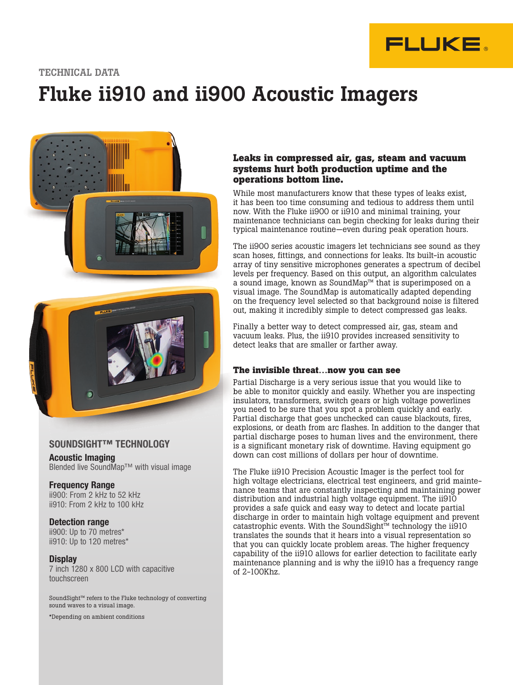

#### TECHNICAL DATA

# Fluke ii910 and ii900 Acoustic Imagers



#### SOUNDSIGHT™ TECHNOLOGY SOUNDSIGHT™ TECHNOLOGY

Acoustic Imaging Blended live SoundMap™ with visual image

#### Frequency Range

ii900: From 2 kHz to 52 kHz ii910: From 2 kHz to 100 kHz

#### Detection range

ii900: Up to 70 metres\* ii910: Up to 120 metres\*

#### **Display**

7 inch 1280 x 800 LCD with capacitive touchscreen

SoundSight™ refers to the Fluke technology of converting sound waves to a visual image.

\*Depending on ambient conditions

#### **Leaks in compressed air, gas, steam and vacuum systems hurt both production uptime and the operations bottom line.**

While most manufacturers know that these types of leaks exist, it has been too time consuming and tedious to address them until now. With the Fluke ii900 or ii910 and minimal training, your maintenance technicians can begin checking for leaks during their typical maintenance routine—even during peak operation hours.

The ii900 series acoustic imagers let technicians see sound as they scan hoses, fittings, and connections for leaks. Its built-in acoustic array of tiny sensitive microphones generates a spectrum of decibel levels per frequency. Based on this output, an algorithm calculates a sound image, known as SoundMap™ that is superimposed on a visual image. The SoundMap is automatically adapted depending on the frequency level selected so that background noise is filtered out, making it incredibly simple to detect compressed gas leaks.

Finally a better way to detect compressed air, gas, steam and vacuum leaks. Plus, the ii910 provides increased sensitivity to detect leaks that are smaller or farther away.

#### **The invisible threat…now you can see**

Partial Discharge is a very serious issue that you would like to be able to monitor quickly and easily. Whether you are inspecting insulators, transformers, switch gears or high voltage powerlines you need to be sure that you spot a problem quickly and early. Partial discharge that goes unchecked can cause blackouts, fires, explosions, or death from arc flashes. In addition to the danger that partial discharge poses to human lives and the environment, there is a significant monetary risk of downtime. Having equipment go down can cost millions of dollars per hour of downtime.

The Fluke ii910 Precision Acoustic Imager is the perfect tool for high voltage electricians, electrical test engineers, and grid maintenance teams that are constantly inspecting and maintaining power distribution and industrial high voltage equipment. The ii910 provides a safe quick and easy way to detect and locate partial discharge in order to maintain high voltage equipment and prevent catastrophic events. With the SoundSight™ technology the ii910 translates the sounds that it hears into a visual representation so that you can quickly locate problem areas. The higher frequency capability of the ii910 allows for earlier detection to facilitate early maintenance planning and is why the ii910 has a frequency range of 2-100Khz.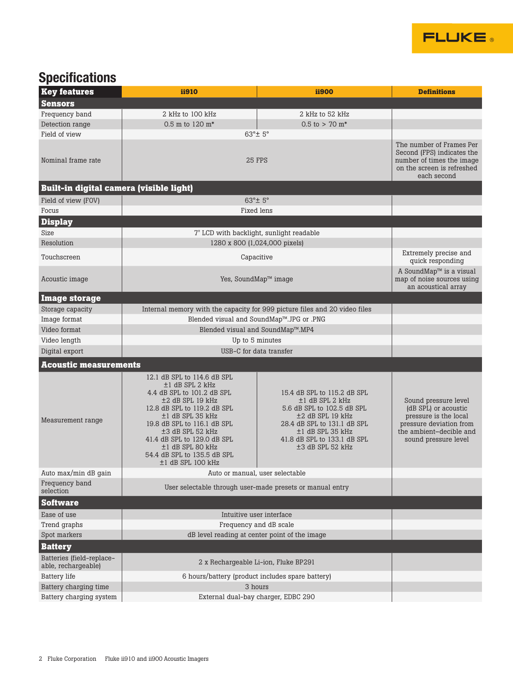

## **Specifications**

| <b>Key features</b>                              | ii910                                                                                                                                                                                                                                                                                                                  | <b>ii900</b>                                                                                                                                                                                                  | <b>Definitions</b>                                                                                                                                  |
|--------------------------------------------------|------------------------------------------------------------------------------------------------------------------------------------------------------------------------------------------------------------------------------------------------------------------------------------------------------------------------|---------------------------------------------------------------------------------------------------------------------------------------------------------------------------------------------------------------|-----------------------------------------------------------------------------------------------------------------------------------------------------|
| <b>Sensors</b>                                   |                                                                                                                                                                                                                                                                                                                        |                                                                                                                                                                                                               |                                                                                                                                                     |
| Frequency band                                   | 2 kHz to 100 kHz                                                                                                                                                                                                                                                                                                       | 2 kHz to 52 kHz                                                                                                                                                                                               |                                                                                                                                                     |
| Detection range                                  | 0.5 m to 120 m <sup>*</sup>                                                                                                                                                                                                                                                                                            | $0.5$ to > 70 m <sup>*</sup>                                                                                                                                                                                  |                                                                                                                                                     |
| Field of view                                    | 63°± 5°                                                                                                                                                                                                                                                                                                                |                                                                                                                                                                                                               |                                                                                                                                                     |
| Nominal frame rate                               | 25 FPS                                                                                                                                                                                                                                                                                                                 |                                                                                                                                                                                                               | The number of Frames Per<br>Second (FPS) indicates the<br>number of times the image<br>on the screen is refreshed<br>each second                    |
| <b>Built-in digital camera (visible light)</b>   |                                                                                                                                                                                                                                                                                                                        |                                                                                                                                                                                                               |                                                                                                                                                     |
| Field of view (FOV)                              | 63°± 5°                                                                                                                                                                                                                                                                                                                |                                                                                                                                                                                                               |                                                                                                                                                     |
| Focus                                            | Fixed lens                                                                                                                                                                                                                                                                                                             |                                                                                                                                                                                                               |                                                                                                                                                     |
| <b>Display</b>                                   |                                                                                                                                                                                                                                                                                                                        |                                                                                                                                                                                                               |                                                                                                                                                     |
| Size                                             | 7" LCD with backlight, sunlight readable                                                                                                                                                                                                                                                                               |                                                                                                                                                                                                               |                                                                                                                                                     |
| Resolution                                       | 1280 x 800 (1,024,000 pixels)                                                                                                                                                                                                                                                                                          |                                                                                                                                                                                                               |                                                                                                                                                     |
| Touchscreen                                      | Capacitive                                                                                                                                                                                                                                                                                                             |                                                                                                                                                                                                               | Extremely precise and<br>quick responding                                                                                                           |
| Acoustic image                                   | Yes, SoundMap™ image                                                                                                                                                                                                                                                                                                   |                                                                                                                                                                                                               | A SoundMap <sup>™</sup> is a visual<br>map of noise sources using<br>an acoustical array                                                            |
| <b>Image storage</b>                             |                                                                                                                                                                                                                                                                                                                        |                                                                                                                                                                                                               |                                                                                                                                                     |
| Storage capacity                                 | Internal memory with the capacity for 999 picture files and 20 video files                                                                                                                                                                                                                                             |                                                                                                                                                                                                               |                                                                                                                                                     |
| Image format                                     | Blended visual and SoundMap™.JPG or .PNG                                                                                                                                                                                                                                                                               |                                                                                                                                                                                                               |                                                                                                                                                     |
| Video format                                     | Blended visual and SoundMap™.MP4                                                                                                                                                                                                                                                                                       |                                                                                                                                                                                                               |                                                                                                                                                     |
| Video length                                     | Up to 5 minutes                                                                                                                                                                                                                                                                                                        |                                                                                                                                                                                                               |                                                                                                                                                     |
| Digital export                                   | USB-C for data transfer                                                                                                                                                                                                                                                                                                |                                                                                                                                                                                                               |                                                                                                                                                     |
| <b>Acoustic measurements</b>                     |                                                                                                                                                                                                                                                                                                                        |                                                                                                                                                                                                               |                                                                                                                                                     |
| Measurement range                                | 12.1 dB SPL to 114.6 dB SPL<br>$±1$ dB SPL 2 kHz<br>4.4 dB SPL to 101.2 dB SPL<br>±2 dB SPL 19 kHz<br>12.8 dB SPL to 119.2 dB SPL<br>$\pm 1$ dB SPL 35 kHz<br>19.8 dB SPL to 116.1 dB SPL<br>±3 dB SPL 52 kHz<br>41.4 dB SPL to 129.0 dB SPL<br>$±1$ dB SPL 80 kHz<br>54.4 dB SPL to 135.5 dB SPL<br>±1 dB SPL 100 kHz | 15.4 dB SPL to 115.2 dB SPL<br>$±1$ dB SPL 2 kHz<br>5.6 dB SPL to 102.5 dB SPL<br>$\pm 2$ dB SPL 19 kHz<br>28.4 dB SPL to 131.1 dB SPL<br>±1 dB SPL 35 kHz<br>41.8 dB SPL to 133.1 dB SPL<br>±3 dB SPL 52 kHz | Sound pressure level<br>(dB SPL) or acoustic<br>pressure is the local<br>pressure deviation from<br>the ambient-decible and<br>sound pressure level |
| Auto max/min dB gain                             | Auto or manual, user selectable                                                                                                                                                                                                                                                                                        |                                                                                                                                                                                                               |                                                                                                                                                     |
| Frequency band<br>selection                      | User selectable through user-made presets or manual entry                                                                                                                                                                                                                                                              |                                                                                                                                                                                                               |                                                                                                                                                     |
| <b>Software</b>                                  |                                                                                                                                                                                                                                                                                                                        |                                                                                                                                                                                                               |                                                                                                                                                     |
| Ease of use                                      | Intuitive user interface                                                                                                                                                                                                                                                                                               |                                                                                                                                                                                                               |                                                                                                                                                     |
| Trend graphs                                     | Frequency and dB scale                                                                                                                                                                                                                                                                                                 |                                                                                                                                                                                                               |                                                                                                                                                     |
| Spot markers                                     | dB level reading at center point of the image                                                                                                                                                                                                                                                                          |                                                                                                                                                                                                               |                                                                                                                                                     |
| <b>Battery</b>                                   |                                                                                                                                                                                                                                                                                                                        |                                                                                                                                                                                                               |                                                                                                                                                     |
| Batteries (field-replace-<br>able, rechargeable) | 2 x Rechargeable Li-ion, Fluke BP291                                                                                                                                                                                                                                                                                   |                                                                                                                                                                                                               |                                                                                                                                                     |
| <b>Battery</b> life                              | 6 hours/battery (product includes spare battery)                                                                                                                                                                                                                                                                       |                                                                                                                                                                                                               |                                                                                                                                                     |
| Battery charging time                            | 3 hours                                                                                                                                                                                                                                                                                                                |                                                                                                                                                                                                               |                                                                                                                                                     |
| Battery charging system                          | External dual-bay charger, EDBC 290                                                                                                                                                                                                                                                                                    |                                                                                                                                                                                                               |                                                                                                                                                     |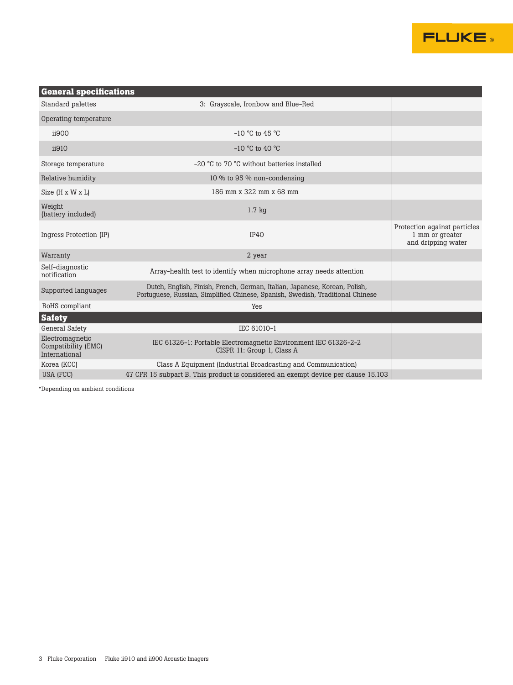

| <b>General specifications</b>                           |                                                                                                                                                              |                                                                       |  |
|---------------------------------------------------------|--------------------------------------------------------------------------------------------------------------------------------------------------------------|-----------------------------------------------------------------------|--|
| Standard palettes                                       | 3: Grayscale, Ironbow and Blue-Red                                                                                                                           |                                                                       |  |
| Operating temperature                                   |                                                                                                                                                              |                                                                       |  |
| ii900                                                   | $-10$ °C to 45 °C                                                                                                                                            |                                                                       |  |
| ii910                                                   | $-10$ °C to 40 °C                                                                                                                                            |                                                                       |  |
| Storage temperature                                     | $-20$ °C to 70 °C without batteries installed                                                                                                                |                                                                       |  |
| Relative humidity                                       | 10 % to 95 % non-condensing                                                                                                                                  |                                                                       |  |
| Size (H x W x L)                                        | 186 mm x 322 mm x 68 mm                                                                                                                                      |                                                                       |  |
| Weight<br>(battery included)                            | $1.7$ kg                                                                                                                                                     |                                                                       |  |
| Ingress Protection (IP)                                 | IP40                                                                                                                                                         | Protection against particles<br>1 mm or greater<br>and dripping water |  |
| Warranty                                                | 2 year                                                                                                                                                       |                                                                       |  |
| Self-diagnostic<br>notification                         | Array-health test to identify when microphone array needs attention                                                                                          |                                                                       |  |
| Supported languages                                     | Dutch, English, Finish, French, German, Italian, Japanese, Korean, Polish,<br>Portuguese, Russian, Simplified Chinese, Spanish, Swedish, Traditional Chinese |                                                                       |  |
| RoHS compliant                                          | Yes                                                                                                                                                          |                                                                       |  |
| <b>Safety</b>                                           |                                                                                                                                                              |                                                                       |  |
| General Safety                                          | IEC 61010-1                                                                                                                                                  |                                                                       |  |
| Electromagnetic<br>Compatibility (EMC)<br>International | IEC 61326-1: Portable Electromagnetic Environment IEC 61326-2-2<br>CISPR 11: Group 1, Class A                                                                |                                                                       |  |
| Korea (KCC)                                             | Class A Equipment (Industrial Broadcasting and Communication)                                                                                                |                                                                       |  |
| USA (FCC)                                               | 47 CFR 15 subpart B. This product is considered an exempt device per clause 15.103                                                                           |                                                                       |  |

\*Depending on ambient conditions